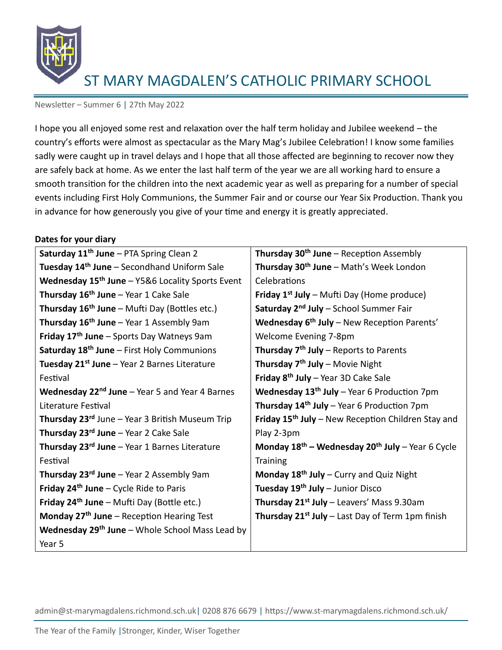

Newsletter – Summer 6 | 27th May 2022

I hope you all enjoyed some rest and relaxation over the half term holiday and Jubilee weekend – the country's efforts were almost as spectacular as the Mary Mag's Jubilee Celebration! I know some families sadly were caught up in travel delays and I hope that all those affected are beginning to recover now they are safely back at home. As we enter the last half term of the year we are all working hard to ensure a smooth transition for the children into the next academic year as well as preparing for a number of special events including First Holy Communions, the Summer Fair and or course our Year Six Production. Thank you in advance for how generously you give of your time and energy it is greatly appreciated.

#### **Dates for your diary**

| Saturday 11 <sup>th</sup> June - PTA Spring Clean 2              | Thursday 30 <sup>th</sup> June – Reception Assembly            |
|------------------------------------------------------------------|----------------------------------------------------------------|
| Tuesday 14 <sup>th</sup> June - Secondhand Uniform Sale          | Thursday 30 <sup>th</sup> June - Math's Week London            |
| Wednesday 15 <sup>th</sup> June - Y5&6 Locality Sports Event     | Celebrations                                                   |
| Thursday 16 <sup>th</sup> June - Year 1 Cake Sale                | <b>Friday 1st July</b> – Mufti Day (Home produce)              |
| <b>Thursday 16<sup>th</sup> June</b> – Mufti Day (Bottles etc.)  | Saturday 2 <sup>nd</sup> July - School Summer Fair             |
| <b>Thursday 16<sup>th</sup> June</b> – Year 1 Assembly 9am       | Wednesday 6 <sup>th</sup> July - New Reception Parents'        |
| Friday 17 <sup>th</sup> June - Sports Day Watneys 9am            | Welcome Evening 7-8pm                                          |
| Saturday 18 <sup>th</sup> June - First Holy Communions           | Thursday 7 <sup>th</sup> July - Reports to Parents             |
| Tuesday 21 <sup>st</sup> June - Year 2 Barnes Literature         | Thursday 7 <sup>th</sup> July - Movie Night                    |
| Festival                                                         | Friday $8th$ July - Year 3D Cake Sale                          |
| <b>Wednesday 22<sup>nd</sup> June</b> – Year 5 and Year 4 Barnes | Wednesday 13 <sup>th</sup> July - Year 6 Production 7pm        |
| Literature Festival                                              | <b>Thursday 14th July</b> – Year 6 Production 7pm              |
| Thursday 23 <sup>rd</sup> June - Year 3 British Museum Trip      | Friday 15 <sup>th</sup> July - New Reception Children Stay and |
| Thursday 23 <sup>rd</sup> June - Year 2 Cake Sale                | Play 2-3pm                                                     |
| Thursday 23 <sup>rd</sup> June - Year 1 Barnes Literature        | Monday $18^{th}$ – Wednesday $20^{th}$ July – Year 6 Cycle     |
| Festival                                                         | <b>Training</b>                                                |
| Thursday $23^{rd}$ June – Year 2 Assembly 9am                    | Monday $18th$ July – Curry and Quiz Night                      |
| <b>Friday 24th June – Cycle Ride to Paris</b>                    | Tuesday 19th July - Junior Disco                               |
| Friday $24th$ June – Mufti Day (Bottle etc.)                     | Thursday 21 <sup>st</sup> July - Leavers' Mass 9.30am          |
| Monday $27th$ June – Reception Hearing Test                      | Thursday 21 <sup>st</sup> July - Last Day of Term 1pm finish   |
| <b>Wednesday 29th June</b> – Whole School Mass Lead by           |                                                                |
| Year 5                                                           |                                                                |
|                                                                  |                                                                |

admin@st-marymagdalens.richmond.sch.uk| 0208 876 6679 | https://www.st-marymagdalens.richmond.sch.uk/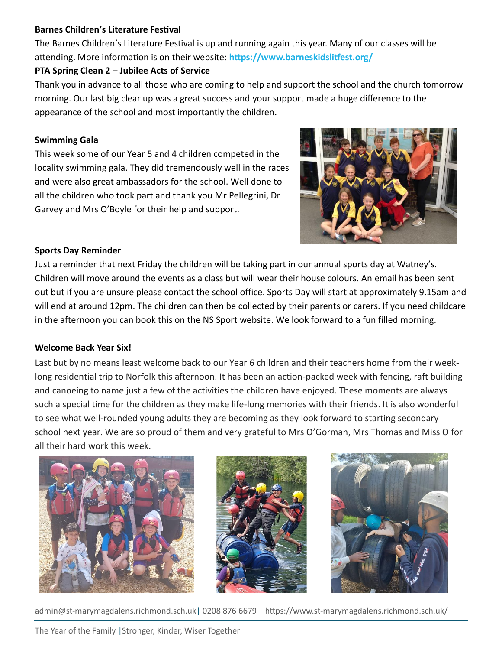### **Barnes Children's Literature Festival**

The Barnes Children's Literature Festival is up and running again this year. Many of our classes will be attending. More information is on their website: **<https://www.barneskidslitfest.org/>**

# **PTA Spring Clean 2 – Jubilee Acts of Service**

Thank you in advance to all those who are coming to help and support the school and the church tomorrow morning. Our last big clear up was a great success and your support made a huge difference to the appearance of the school and most importantly the children.

# **Swimming Gala**

This week some of our Year 5 and 4 children competed in the locality swimming gala. They did tremendously well in the races and were also great ambassadors for the school. Well done to all the children who took part and thank you Mr Pellegrini, Dr Garvey and Mrs O'Boyle for their help and support.



# **Sports Day Reminder**

Just a reminder that next Friday the children will be taking part in our annual sports day at Watney's. Children will move around the events as a class but will wear their house colours. An email has been sent out but if you are unsure please contact the school office. Sports Day will start at approximately 9.15am and will end at around 12pm. The children can then be collected by their parents or carers. If you need childcare in the afternoon you can book this on the NS Sport website. We look forward to a fun filled morning.

### **Welcome Back Year Six!**

Last but by no means least welcome back to our Year 6 children and their teachers home from their weeklong residential trip to Norfolk this afternoon. It has been an action-packed week with fencing, raft building and canoeing to name just a few of the activities the children have enjoyed. These moments are always such a special time for the children as they make life-long memories with their friends. It is also wonderful to see what well-rounded young adults they are becoming as they look forward to starting secondary school next year. We are so proud of them and very grateful to Mrs O'Gorman, Mrs Thomas and Miss O for all their hard work this week.







admin@st-marymagdalens.richmond.sch.uk| 0208 876 6679 | https://www.st-marymagdalens.richmond.sch.uk/